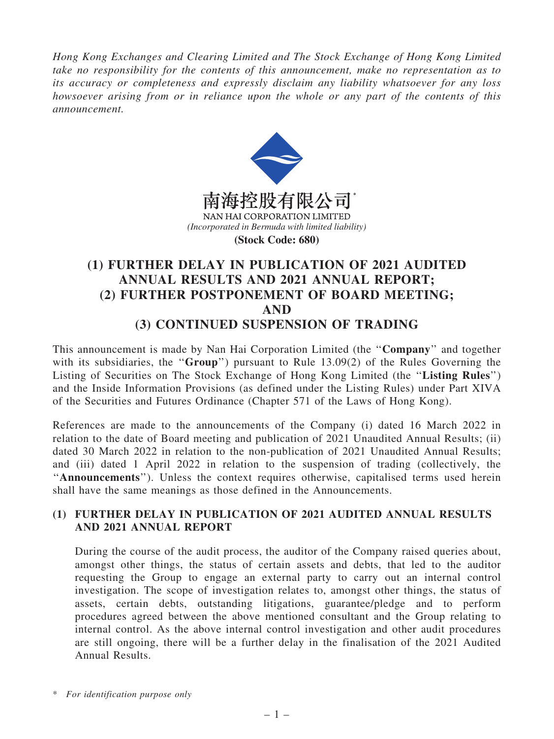*Hong Kong Exchanges and Clearing Limited and The Stock Exchange of Hong Kong Limited take no responsibility for the contents of this announcement, make no representation as to its accuracy or completeness and expressly disclaim any liability whatsoever for any loss howsoever arising from or in reliance upon the whole or any part of the contents of this announcement.*



# (1) FURTHER DELAY IN PUBLICATION OF 2021 AUDITED ANNUAL RESULTS AND 2021 ANNUAL REPORT; (2) FURTHER POSTPONEMENT OF BOARD MEETING; AND (3) CONTINUED SUSPENSION OF TRADING

This announcement is made by Nan Hai Corporation Limited (the ''Company'' and together with its subsidiaries, the "Group") pursuant to Rule 13.09(2) of the Rules Governing the Listing of Securities on The Stock Exchange of Hong Kong Limited (the ''Listing Rules'') and the Inside Information Provisions (as defined under the Listing Rules) under Part XIVA of the Securities and Futures Ordinance (Chapter 571 of the Laws of Hong Kong).

References are made to the announcements of the Company (i) dated 16 March 2022 in relation to the date of Board meeting and publication of 2021 Unaudited Annual Results; (ii) dated 30 March 2022 in relation to the non-publication of 2021 Unaudited Annual Results; and (iii) dated 1 April 2022 in relation to the suspension of trading (collectively, the ''Announcements''). Unless the context requires otherwise, capitalised terms used herein shall have the same meanings as those defined in the Announcements.

## (1) FURTHER DELAY IN PUBLICATION OF 2021 AUDITED ANNUAL RESULTS AND 2021 ANNUAL REPORT

During the course of the audit process, the auditor of the Company raised queries about, amongst other things, the status of certain assets and debts, that led to the auditor requesting the Group to engage an external party to carry out an internal control investigation. The scope of investigation relates to, amongst other things, the status of assets, certain debts, outstanding litigations, guarantee/pledge and to perform procedures agreed between the above mentioned consultant and the Group relating to internal control. As the above internal control investigation and other audit procedures are still ongoing, there will be a further delay in the finalisation of the 2021 Audited Annual Results.

<sup>\*</sup> *For identification purpose only*